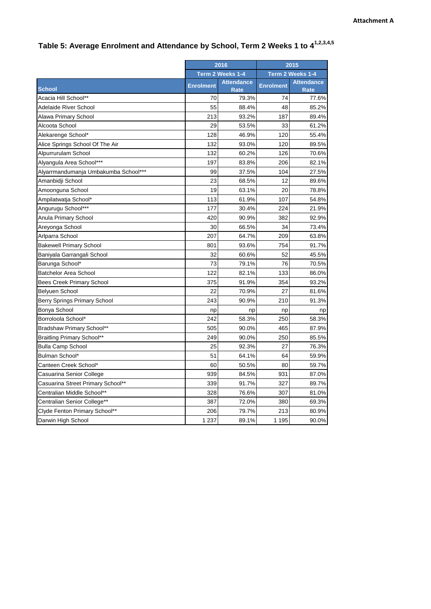|                                      | 2016             |                                  | 2015             |                                  |
|--------------------------------------|------------------|----------------------------------|------------------|----------------------------------|
|                                      | Term 2 Weeks 1-4 |                                  | Term 2 Weeks 1-4 |                                  |
| <b>School</b>                        | <b>Enrolment</b> | <b>Attendance</b><br><b>Rate</b> | <b>Enrolment</b> | <b>Attendance</b><br><b>Rate</b> |
| Acacia Hill School**                 | 70               | 79.3%                            | 74               | 77.6%                            |
| <b>Adelaide River School</b>         | 55               | 88.4%                            | 48               | 85.2%                            |
| Alawa Primary School                 | 213              | 93.2%                            | 187              | 89.4%                            |
| Alcoota School                       | 29               | 53.5%                            | 33               | 61.2%                            |
| Alekarenge School*                   | 128              | 46.9%                            | 120              | 55.4%                            |
| Alice Springs School Of The Air      | 132              | 93.0%                            | 120              | 89.5%                            |
| Alpurrurulam School                  | 132              | 60.2%                            | 126              | 70.6%                            |
| Alyangula Area School***             | 197              | 83.8%                            | 206              | 82.1%                            |
| Alyarrmandumanja Umbakumba School*** | 99               | 37.5%                            | 104              | 27.5%                            |
| Amanbidji School                     | 23               | 68.5%                            | 12               | 89.6%                            |
| Amoonguna School                     | 19               | 63.1%                            | 20               | 78.8%                            |
| Ampilatwatja School*                 | 113              | 61.9%                            | 107              | 54.8%                            |
| Angurugu School***                   | 177              | 30.4%                            | 224              | 21.9%                            |
| Anula Primary School                 | 420              | 90.9%                            | 382              | 92.9%                            |
| Areyonga School                      | 30               | 66.5%                            | 34               | 73.4%                            |
| Arlparra School                      | 207              | 64.7%                            | 209              | 63.8%                            |
| <b>Bakewell Primary School</b>       | 801              | 93.6%                            | 754              | 91.7%                            |
| Baniyala Garrangali School           | 32               | 60.6%                            | 52               | 45.5%                            |
| Barunga School*                      | 73               | 79.1%                            | 76               | 70.5%                            |
| <b>Batchelor Area School</b>         | 122              | 82.1%                            | 133              | 86.0%                            |
| <b>Bees Creek Primary School</b>     | 375              | 91.9%                            | 354              | 93.2%                            |
| Belyuen School                       | 22               | 70.9%                            | 27               | 81.6%                            |
| Berry Springs Primary School         | 243              | 90.9%                            | 210              | 91.3%                            |
| Bonya School                         | np               | np                               | np               | np                               |
| Borroloola School*                   | 242              | 58.3%                            | 250              | 58.3%                            |
| Bradshaw Primary School**            | 505              | 90.0%                            | 465              | 87.9%                            |
| <b>Braitling Primary School**</b>    | 249              | 90.0%                            | 250              | 85.5%                            |
| <b>Bulla Camp School</b>             | 25               | 92.3%                            | 27               | 76.3%                            |
| Bulman School*                       | 51               | 64.1%                            | 64               | 59.9%                            |
| Canteen Creek School*                | 60               | 50.5%                            | 80               | 59.7%                            |
| Casuarina Senior College             | 939              | 84.5%                            | 931              | 87.0%                            |
| Casuarina Street Primary School**    | 339              | 91.7%                            | 327              | 89.7%                            |
| Centralian Middle School**           | 328              | 76.6%                            | 307              | 81.0%                            |
| Centralian Senior College**          | 387              | 72.0%                            | 380              | 69.3%                            |
| Clyde Fenton Primary School**        | 206              | 79.7%                            | 213              | 80.9%                            |
| Darwin High School                   | 1 2 3 7          | 89.1%                            | 1 1 9 5          | 90.0%                            |

## **Table 5: Average Enrolment and Attendance by School, Term 2 Weeks 1 to 41,2,3,4,5**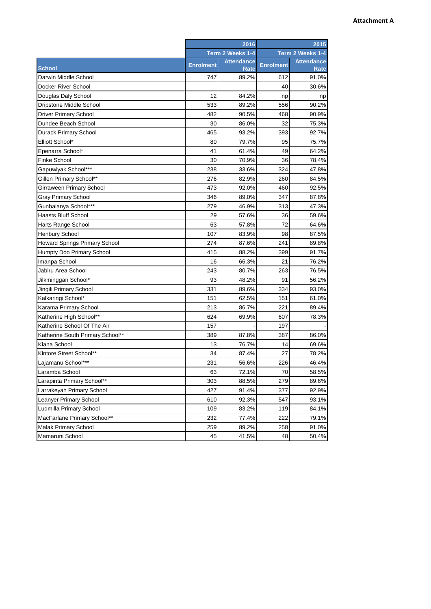## **Attachment A**

|                                  | 2016             |                           | 2015             |                           |
|----------------------------------|------------------|---------------------------|------------------|---------------------------|
|                                  | Term 2 Weeks 1-4 |                           | Term 2 Weeks 1-4 |                           |
| <b>School</b>                    | <b>Enrolment</b> | <b>Attendance</b><br>Rate | <b>Enrolment</b> | <b>Attendance</b><br>Rate |
| Darwin Middle School             | 747              | 89.2%                     | 612              | 91.0%                     |
| Docker River School              |                  |                           | 40               | 30.6%                     |
| Douglas Daly School              | 12               | 84.2%                     | np               | np                        |
| Dripstone Middle School          | 533              | 89.2%                     | 556              | 90.2%                     |
| <b>Driver Primary School</b>     | 482              | 90.5%                     | 468              | 90.9%                     |
| Dundee Beach School              | 30               | 86.0%                     | 32               | 75.3%                     |
| <b>Durack Primary School</b>     | 465              | 93.2%                     | 393              | 92.7%                     |
| Elliott School*                  | 80               | 79.7%                     | 95               | 75.7%                     |
| Epenarra School*                 | 41               | 61.4%                     | 49               | 64.2%                     |
| Finke School                     | 30               | 70.9%                     | 36               | 78.4%                     |
| Gapuwiyak School***              | 238              | 33.6%                     | 324              | 47.8%                     |
| Gillen Primary School**          | 276              | 82.9%                     | 260              | 84.5%                     |
| Girraween Primary School         | 473              | 92.0%                     | 460              | 92.5%                     |
| <b>Gray Primary School</b>       | 346              | 89.0%                     | 347              | 87.8%                     |
| Gunbalanya School***             | 279              | 46.9%                     | 313              | 47.3%                     |
| <b>Haasts Bluff School</b>       | 29               | 57.6%                     | 36               | 59.6%                     |
| Harts Range School               | 63               | 57.8%                     | 72               | 64.6%                     |
| <b>Henbury School</b>            | 107              | 83.9%                     | 98               | 87.5%                     |
| Howard Springs Primary School    | 274              | 87.6%                     | 241              | 89.8%                     |
| Humpty Doo Primary School        | 415              | 88.2%                     | 399              | 91.7%                     |
| Imanpa School                    | 16               | 66.3%                     | 21               | 76.2%                     |
| Jabiru Area School               | 243              | 80.7%                     | 263              | 76.5%                     |
| Jilkminggan School*              | 93               | 48.2%                     | 91               | 56.2%                     |
| Jingili Primary School           | 331              | 89.6%                     | 334              | 93.0%                     |
| Kalkaringi School*               | 151              | 62.5%                     | 151              | 61.0%                     |
| Karama Primary School            | 213              | 86.7%                     | 221              | 89.4%                     |
| Katherine High School**          | 624              | 69.9%                     | 607              | 78.3%                     |
| Katherine School Of The Air      | 157              |                           | 197              |                           |
| Katherine South Primary School** | 389              | 87.8%                     | 387              | 86.0%                     |
| Kiana School                     | 13               | 76.7%                     | 14               | 69.6%                     |
| Kintore Street School**          | 34               | 87.4%                     | 27               | 78.2%                     |
| Laiamanu School***               | 231              | 56.6%                     | 226              | 46.4%                     |
| Laramba School                   | 63               | 72.1%                     | 70               | 58.5%                     |
| Larapinta Primary School**       | 303              | 88.5%                     | 279              | 89.6%                     |
| Larrakeyah Primary School        | 427              | 91.4%                     | 377              | 92.9%                     |
| Leanyer Primary School           | 610              | 92.3%                     | 547              | 93.1%                     |
| Ludmilla Primary School          | 109              | 83.2%                     | 119              | 84.1%                     |
| MacFarlane Primary School**      | 232              | 77.4%                     | 222              | 79.1%                     |
| Malak Primary School             | 259              | 89.2%                     | 258              | 91.0%                     |
| Mamaruni School                  | 45               | 41.5%                     | 48               | 50.4%                     |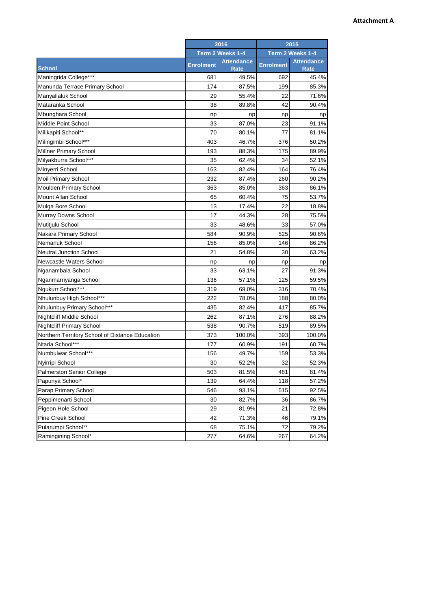## **Attachment A**

|                                                 | 2016             |                                  | 2015             |                           |
|-------------------------------------------------|------------------|----------------------------------|------------------|---------------------------|
|                                                 | Term 2 Weeks 1-4 |                                  | Term 2 Weeks 1-4 |                           |
| <b>School</b>                                   | <b>Enrolment</b> | <b>Attendance</b><br><b>Rate</b> | <b>Enrolment</b> | <b>Attendance</b><br>Rate |
| Maningrida College***                           | 681              | 49.5%                            | 692              | 45.4%                     |
| Manunda Terrace Primary School                  | 174              | 87.5%                            | 199              | 85.3%                     |
| Manyallaluk School                              | 29               | 55.4%                            | 22               | 71.6%                     |
| Mataranka School                                | 38               | 89.8%                            | 42               | 90.4%                     |
| Mbunghara School                                | np               | np                               | np               | np                        |
| Middle Point School                             | 33               | 87.0%                            | 23               | 91.1%                     |
| Milikapiti School**                             | 70               | 80.1%                            | 77               | 81.1%                     |
| Milingimbi School***                            | 403              | 46.7%                            | 376              | 50.2%                     |
| <b>Millner Primary School</b>                   | 193              | 88.3%                            | 175              | 89.9%                     |
| Milyakburra School***                           | 35               | 62.4%                            | 34               | 52.1%                     |
| Minyerri School                                 | 163              | 82.4%                            | 164              | 76.4%                     |
| Moil Primary School                             | 232              | 87.4%                            | 260              | 90.2%                     |
| <b>Moulden Primary School</b>                   | 363              | 85.0%                            | 363              | 86.1%                     |
| Mount Allan School                              | 65               | 60.4%                            | 75               | 53.7%                     |
| Mulga Bore School                               | 13               | 17.4%                            | 22               | 18.8%                     |
| Murray Downs School                             | 17               | 44.3%                            | 28               | 75.5%                     |
| Mutitjulu School                                | 33               | 48.6%                            | 33               | 57.0%                     |
| Nakara Primary School                           | 584              | 90.9%                            | 525              | 90.6%                     |
| Nemarluk School                                 | 156              | 85.0%                            | 146              | 86.2%                     |
| <b>Neutral Junction School</b>                  | 21               | 54.8%                            | 30               | 63.2%                     |
| Newcastle Waters School                         | np               | np                               | np               | np                        |
| Nganambala School                               | 33               | 63.1%                            | 27               | 91.3%                     |
| Nganmarriyanga School                           | 136              | 57.1%                            | 125              | 59.5%                     |
| Ngukurr School***                               | 319              | 69.0%                            | 316              | 70.4%                     |
| Nhulunbuy High School***                        | 222              | 78.0%                            | 188              | 80.0%                     |
| Nhulunbuy Primary School***                     | 435              | 82.4%                            | 417              | 85.7%                     |
| <b>Nightcliff Middle School</b>                 | 262              | 87.1%                            | 276              | 88.2%                     |
| <b>Nightcliff Primary School</b>                | 538              | 90.7%                            | 519              | 89.5%                     |
| Northern Territory School of Distance Education | 373              | 100.0%                           | 393              | 100.0%                    |
| Ntaria School***                                | 177              | 60.9%                            | 191              | 60.7%                     |
| Numbulwar School***                             | 156              | 49.7%                            | 159              | 53.3%                     |
| Nyirripi School                                 | 30               | 52.2%                            | 32               | 52.3%                     |
| Palmerston Senior College                       | 503              | 81.5%                            | 481              | 81.4%                     |
| Papunya School*                                 | 139              | 64.4%                            | 118              | 57.2%                     |
| Parap Primary School                            | 546              | 93.1%                            | 515              | 92.5%                     |
| Peppimenarti School                             | 30               | 82.7%                            | 36               | 86.7%                     |
| Pigeon Hole School                              | 29               | 81.9%                            | 21               | 72.8%                     |
| Pine Creek School                               | 42               | 71.3%                            | 46               | 79.1%                     |
| Pularumpi School**                              | 68               | 75.1%                            | 72               | 79.2%                     |
| Ramingining School*                             | 277              | 64.6%                            | 267              | 64.2%                     |